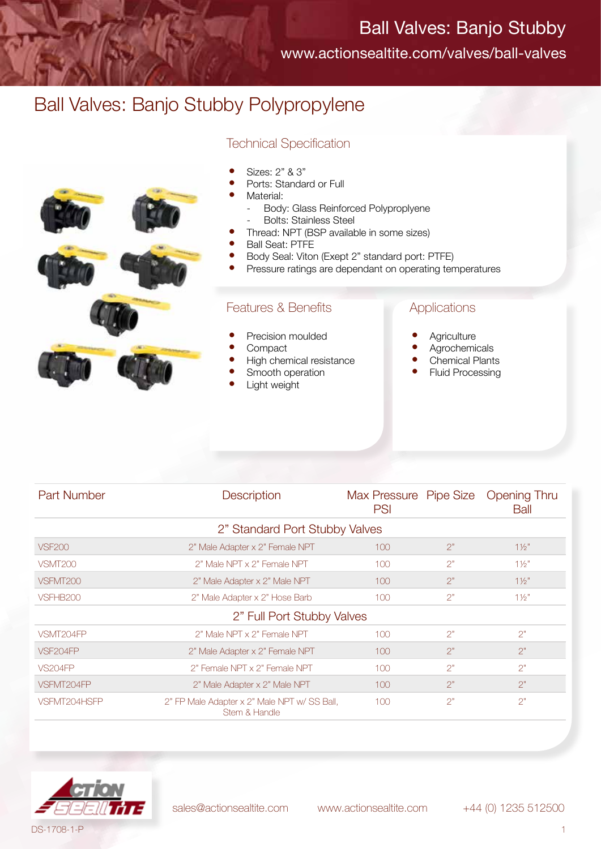www.actionsealtite.com/valves/ball-valves

## Ball Valves: Banjo Stubby Polypropylene





#### • Sizes: 2" & 3"

- Ports: Standard or Full
- Material:
	- Body: Glass Reinforced Polyproplyene Bolts: Stainless Steel
	- Thread: NPT (BSP available in some sizes)
	- Ball Seat: PTFE
- Body Seal: Viton (Exept 2" standard port: PTFE)
- Pressure ratings are dependant on operating temperatures

### Features & Benefits

- Precision moulded
- **Compact**
- High chemical resistance
- Smooth operation
- Light weight

#### Applications

- **Agriculture**
- **Agrochemicals**
- **Chemical Plants**
- Fluid Processing

| <b>Part Number</b>             | <b>Description</b>                                            | PSI |    | Max Pressure Pipe Size Opening Thru<br>Ball |  |  |  |
|--------------------------------|---------------------------------------------------------------|-----|----|---------------------------------------------|--|--|--|
| 2" Standard Port Stubby Valves |                                                               |     |    |                                             |  |  |  |
| <b>VSF200</b>                  | 2" Male Adapter x 2" Female NPT                               | 100 | 2" | 11/2"                                       |  |  |  |
| VSMT <sub>200</sub>            | 2" Male NPT x 2" Female NPT                                   | 100 | 2" | $1\frac{1}{2}$                              |  |  |  |
| VSFMT200                       | 2" Male Adapter x 2" Male NPT                                 | 100 | 2" | 11/2"                                       |  |  |  |
| VSFHB200                       | 2" Male Adapter x 2" Hose Barb                                | 100 | 2" | 11/2"                                       |  |  |  |
| 2" Full Port Stubby Valves     |                                                               |     |    |                                             |  |  |  |
| VSMT204FP                      | 2" Male NPT x 2" Female NPT                                   | 100 | 2" | 2"                                          |  |  |  |
| VSF204FP                       | 2" Male Adapter x 2" Female NPT                               | 100 | 2" | 2"                                          |  |  |  |
| <b>VS204FP</b>                 | 2" Female NPT x 2" Female NPT                                 | 100 | 2" | 2"                                          |  |  |  |
| VSFMT204FP                     | 2" Male Adapter x 2" Male NPT                                 | 100 | 2" | 2"                                          |  |  |  |
| VSFMT204HSFP                   | 2" FP Male Adapter x 2" Male NPT w/ SS Ball,<br>Stem & Handle | 100 | 2" | 2"                                          |  |  |  |